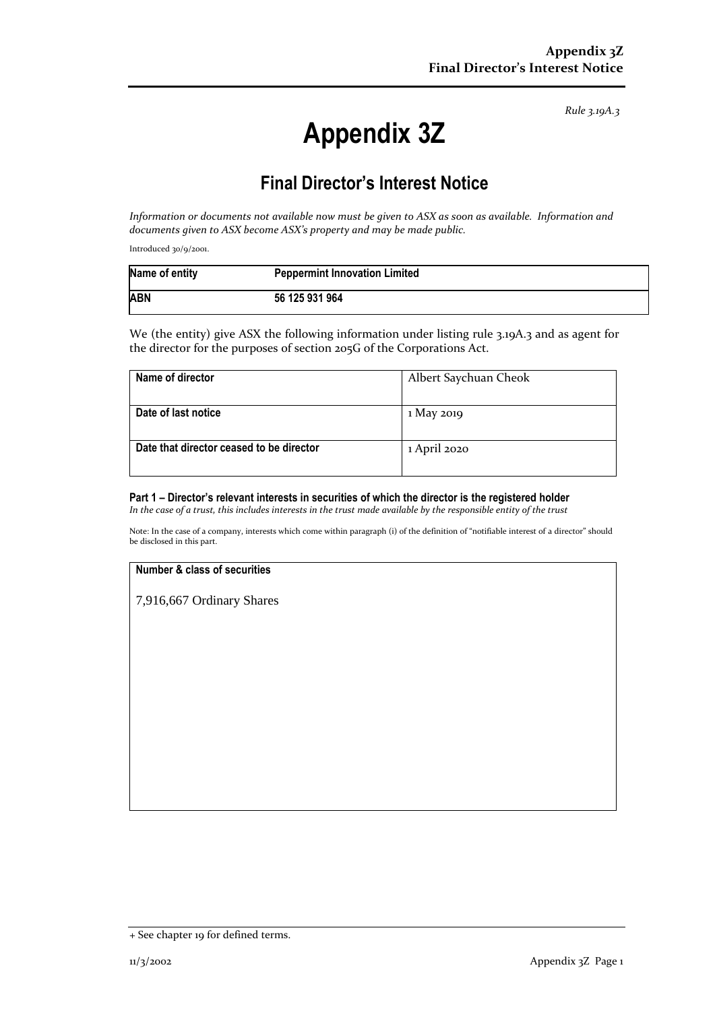*Rule 3.19A.3*

# **Appendix 3Z**

# **Final Director's Interest Notice**

*Information or documents not available now must be given to ASX as soon as available. Information and documents given to ASX become ASX's property and may be made public.*

Introduced 30/9/2001.

| Name of entity | <b>Peppermint Innovation Limited</b> |
|----------------|--------------------------------------|
| <b>ABN</b>     | 56 125 931 964                       |

We (the entity) give ASX the following information under listing rule 3.19A.3 and as agent for the director for the purposes of section 205G of the Corporations Act.

| Name of director                         | Albert Saychuan Cheok |
|------------------------------------------|-----------------------|
|                                          |                       |
| Date of last notice                      | 1 May 2019            |
|                                          |                       |
| Date that director ceased to be director | 1 April 2020          |
|                                          |                       |

# **Part 1 – Director's relevant interests in securities of which the director is the registered holder**

*In the case of a trust, this includes interests in the trust made available by the responsible entity of the trust*

Note: In the case of a company, interests which come within paragraph (i) of the definition of "notifiable interest of a director" should be disclosed in this part.

#### **Number & class of securities**

7,916,667 Ordinary Shares

<sup>+</sup> See chapter 19 for defined terms.